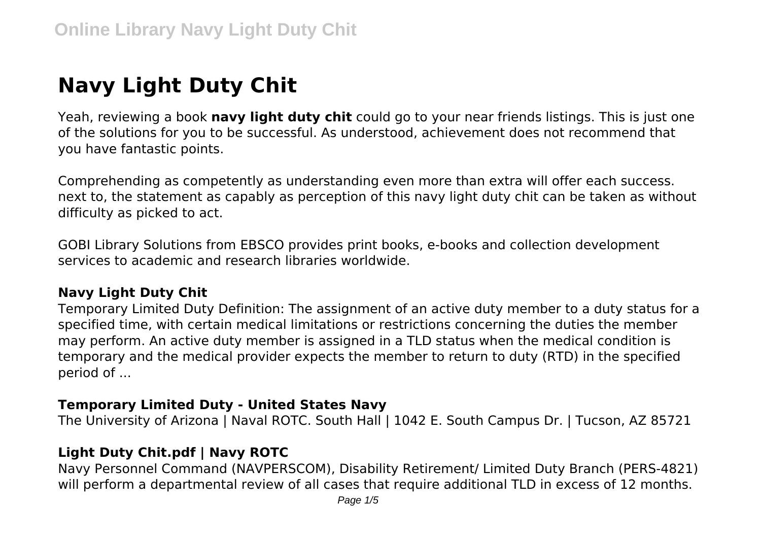# **Navy Light Duty Chit**

Yeah, reviewing a book **navy light duty chit** could go to your near friends listings. This is just one of the solutions for you to be successful. As understood, achievement does not recommend that you have fantastic points.

Comprehending as competently as understanding even more than extra will offer each success. next to, the statement as capably as perception of this navy light duty chit can be taken as without difficulty as picked to act.

GOBI Library Solutions from EBSCO provides print books, e-books and collection development services to academic and research libraries worldwide.

## **Navy Light Duty Chit**

Temporary Limited Duty Definition: The assignment of an active duty member to a duty status for a specified time, with certain medical limitations or restrictions concerning the duties the member may perform. An active duty member is assigned in a TLD status when the medical condition is temporary and the medical provider expects the member to return to duty (RTD) in the specified period of ...

#### **Temporary Limited Duty - United States Navy**

The University of Arizona | Naval ROTC. South Hall | 1042 E. South Campus Dr. | Tucson, AZ 85721

#### **Light Duty Chit.pdf | Navy ROTC**

Navy Personnel Command (NAVPERSCOM), Disability Retirement/ Limited Duty Branch (PERS-4821) will perform a departmental review of all cases that require additional TLD in excess of 12 months.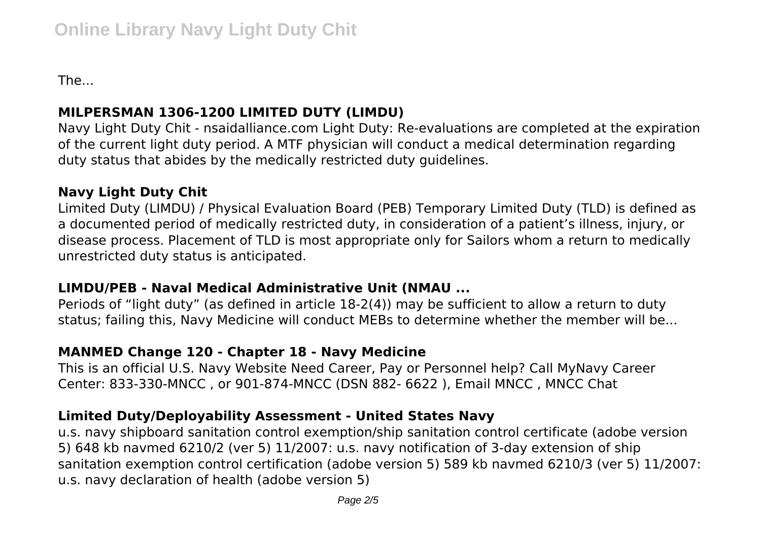The...

# **MILPERSMAN 1306-1200 LIMITED DUTY (LIMDU)**

Navy Light Duty Chit - nsaidalliance.com Light Duty: Re-evaluations are completed at the expiration of the current light duty period. A MTF physician will conduct a medical determination regarding duty status that abides by the medically restricted duty guidelines.

## **Navy Light Duty Chit**

Limited Duty (LIMDU) / Physical Evaluation Board (PEB) Temporary Limited Duty (TLD) is defined as a documented period of medically restricted duty, in consideration of a patient's illness, injury, or disease process. Placement of TLD is most appropriate only for Sailors whom a return to medically unrestricted duty status is anticipated.

## **LIMDU/PEB - Naval Medical Administrative Unit (NMAU ...**

Periods of "light duty" (as defined in article 18-2(4)) may be sufficient to allow a return to duty status; failing this, Navy Medicine will conduct MEBs to determine whether the member will be...

# **MANMED Change 120 - Chapter 18 - Navy Medicine**

This is an official U.S. Navy Website Need Career, Pay or Personnel help? Call MyNavy Career Center: 833-330-MNCC , or 901-874-MNCC (DSN 882- 6622 ), Email MNCC , MNCC Chat

# **Limited Duty/Deployability Assessment - United States Navy**

u.s. navy shipboard sanitation control exemption/ship sanitation control certificate (adobe version 5) 648 kb navmed 6210/2 (ver 5) 11/2007: u.s. navy notification of 3-day extension of ship sanitation exemption control certification (adobe version 5) 589 kb navmed 6210/3 (ver 5) 11/2007: u.s. navy declaration of health (adobe version 5)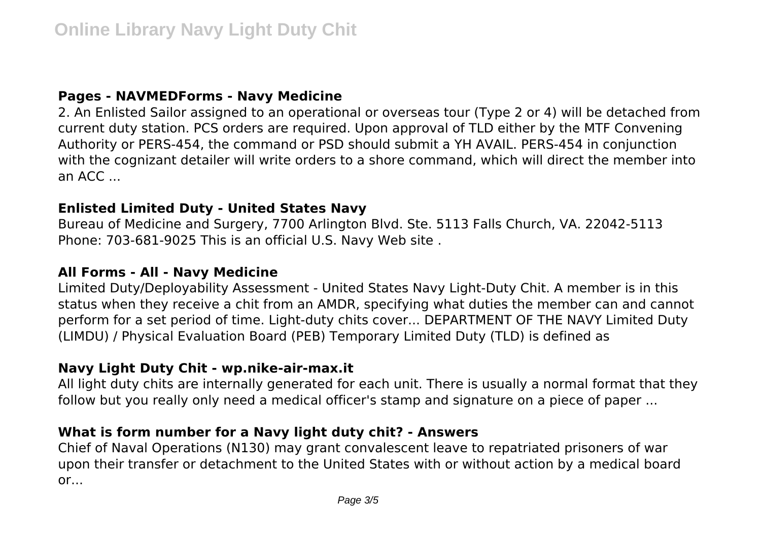#### **Pages - NAVMEDForms - Navy Medicine**

2. An Enlisted Sailor assigned to an operational or overseas tour (Type 2 or 4) will be detached from current duty station. PCS orders are required. Upon approval of TLD either by the MTF Convening Authority or PERS-454, the command or PSD should submit a YH AVAIL. PERS-454 in conjunction with the cognizant detailer will write orders to a shore command, which will direct the member into an ACC ...

#### **Enlisted Limited Duty - United States Navy**

Bureau of Medicine and Surgery, 7700 Arlington Blvd. Ste. 5113 Falls Church, VA. 22042-5113 Phone: 703-681-9025 This is an official U.S. Navy Web site .

#### **All Forms - All - Navy Medicine**

Limited Duty/Deployability Assessment - United States Navy Light-Duty Chit. A member is in this status when they receive a chit from an AMDR, specifying what duties the member can and cannot perform for a set period of time. Light-duty chits cover... DEPARTMENT OF THE NAVY Limited Duty (LIMDU) / Physical Evaluation Board (PEB) Temporary Limited Duty (TLD) is defined as

#### **Navy Light Duty Chit - wp.nike-air-max.it**

All light duty chits are internally generated for each unit. There is usually a normal format that they follow but you really only need a medical officer's stamp and signature on a piece of paper ...

## **What is form number for a Navy light duty chit? - Answers**

Chief of Naval Operations (N130) may grant convalescent leave to repatriated prisoners of war upon their transfer or detachment to the United States with or without action by a medical board or...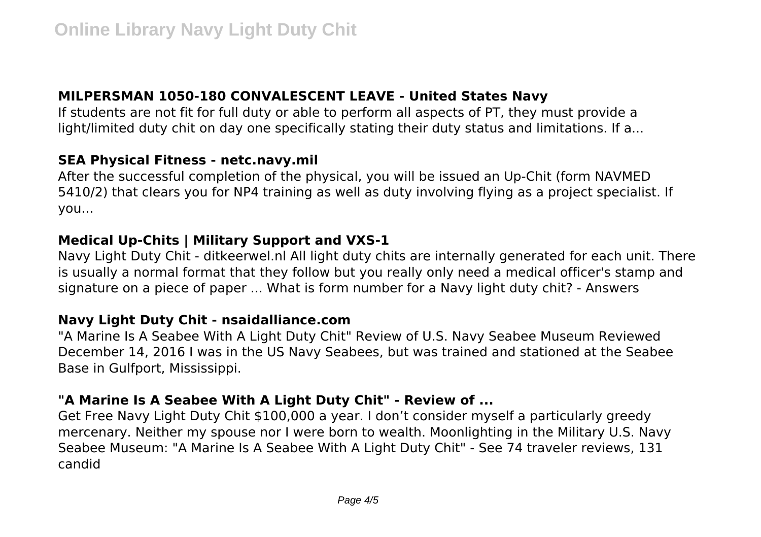# **MILPERSMAN 1050-180 CONVALESCENT LEAVE - United States Navy**

If students are not fit for full duty or able to perform all aspects of PT, they must provide a light/limited duty chit on day one specifically stating their duty status and limitations. If a...

#### **SEA Physical Fitness - netc.navy.mil**

After the successful completion of the physical, you will be issued an Up-Chit (form NAVMED 5410/2) that clears you for NP4 training as well as duty involving flying as a project specialist. If you...

#### **Medical Up-Chits | Military Support and VXS-1**

Navy Light Duty Chit - ditkeerwel.nl All light duty chits are internally generated for each unit. There is usually a normal format that they follow but you really only need a medical officer's stamp and signature on a piece of paper ... What is form number for a Navy light duty chit? - Answers

#### **Navy Light Duty Chit - nsaidalliance.com**

"A Marine Is A Seabee With A Light Duty Chit" Review of U.S. Navy Seabee Museum Reviewed December 14, 2016 I was in the US Navy Seabees, but was trained and stationed at the Seabee Base in Gulfport, Mississippi.

## **"A Marine Is A Seabee With A Light Duty Chit" - Review of ...**

Get Free Navy Light Duty Chit \$100,000 a year. I don't consider myself a particularly greedy mercenary. Neither my spouse nor I were born to wealth. Moonlighting in the Military U.S. Navy Seabee Museum: "A Marine Is A Seabee With A Light Duty Chit" - See 74 traveler reviews, 131 candid